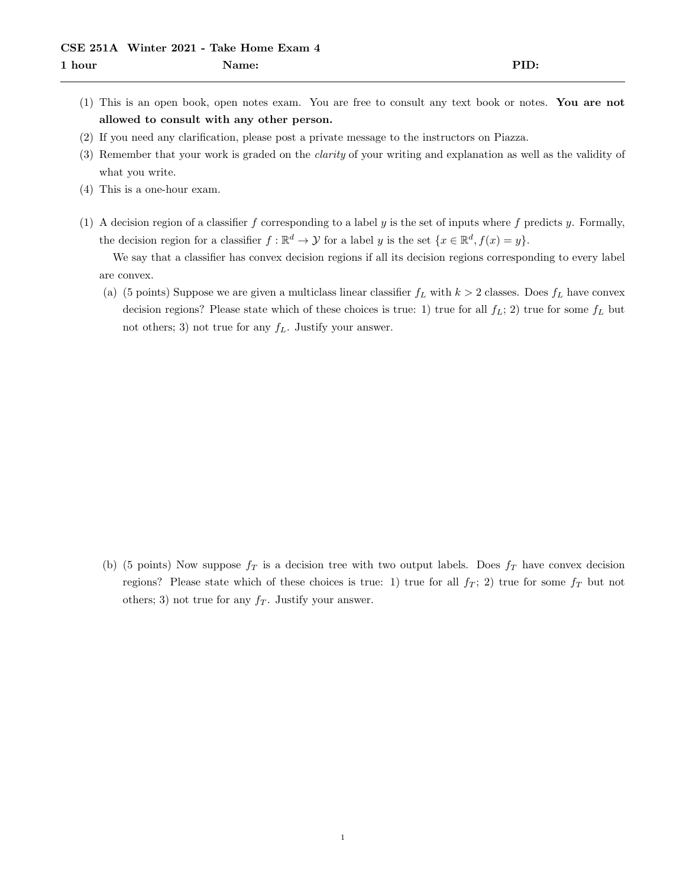- (1) This is an open book, open notes exam. You are free to consult any text book or notes. You are not allowed to consult with any other person.
- (2) If you need any clarification, please post a private message to the instructors on Piazza.
- (3) Remember that your work is graded on the clarity of your writing and explanation as well as the validity of what you write.
- (4) This is a one-hour exam.
- (1) A decision region of a classifier f corresponding to a label y is the set of inputs where f predicts y. Formally, the decision region for a classifier  $f : \mathbb{R}^d \to \mathcal{Y}$  for a label y is the set  $\{x \in \mathbb{R}^d, f(x) = y\}.$

We say that a classifier has convex decision regions if all its decision regions corresponding to every label are convex.

(a) (5 points) Suppose we are given a multiclass linear classifier  $f_L$  with  $k > 2$  classes. Does  $f_L$  have convex decision regions? Please state which of these choices is true: 1) true for all  $f_L$ ; 2) true for some  $f_L$  but not others; 3) not true for any  $f<sub>L</sub>$ . Justify your answer.

(b) (5 points) Now suppose  $f_T$  is a decision tree with two output labels. Does  $f_T$  have convex decision regions? Please state which of these choices is true: 1) true for all  $f_T$ ; 2) true for some  $f_T$  but not others; 3) not true for any  $f<sub>T</sub>$ . Justify your answer.